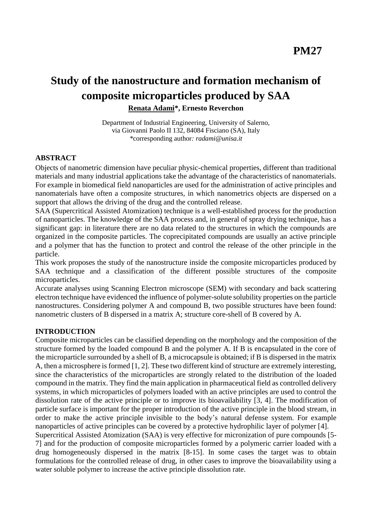# **Study of the nanostructure and formation mechanism of composite microparticles produced by SAA**

**Renata Adami\*, Ernesto Reverchon**

Department of Industrial Engineering, University of Salerno, via Giovanni Paolo II 132, 84084 Fisciano (SA), Italy *\**corresponding author*: radami@unisa.it*

### **ABSTRACT**

Objects of nanometric dimension have peculiar physic-chemical properties, different than traditional materials and many industrial applications take the advantage of the characteristics of nanomaterials. For example in biomedical field nanoparticles are used for the administration of active principles and nanomaterials have often a composite structures, in which nanometrics objects are dispersed on a support that allows the driving of the drug and the controlled release.

SAA (Supercritical Assisted Atomization) technique is a well-established process for the production of nanoparticles. The knowledge of the SAA process and, in general of spray drying technique, has a significant gap: in literature there are no data related to the structures in which the compounds are organized in the composite particles. The coprecipitated compounds are usually an active principle and a polymer that has the function to protect and control the release of the other principle in the particle.

This work proposes the study of the nanostructure inside the composite microparticles produced by SAA technique and a classification of the different possible structures of the composite microparticles.

Accurate analyses using Scanning Electron microscope (SEM) with secondary and back scattering electron technique have evidenced the influence of polymer-solute solubility properties on the particle nanostructures. Considering polymer A and compound B, two possible structures have been found: nanometric clusters of B dispersed in a matrix A; structure core-shell of B covered by A.

### **INTRODUCTION**

Composite microparticles can be classified depending on the morphology and the composition of the structure formed by the loaded compound B and the polymer A. If B is encapsulated in the core of the microparticle surrounded by a shell of B, a microcapsule is obtained; if B is dispersed in the matrix A, then a microsphere is formed [1, 2]. These two different kind of structure are extremely interesting, since the characteristics of the microparticles are strongly related to the distribution of the loaded compound in the matrix. They find the main application in pharmaceutical field as controlled delivery systems, in which microparticles of polymers loaded with an active principles are used to control the dissolution rate of the active principle or to improve its bioavailability [3, 4]. The modification of particle surface is important for the proper introduction of the active principle in the blood stream, in order to make the active principle invisible to the body's natural defense system. For example nanoparticles of active principles can be covered by a protective hydrophilic layer of polymer [4].

Supercritical Assisted Atomization (SAA) is very effective for micronization of pure compounds [5- 7] and for the production of composite microparticles formed by a polymeric carrier loaded with a drug homogeneously dispersed in the matrix [8-15]. In some cases the target was to obtain formulations for the controlled release of drug, in other cases to improve the bioavailability using a water soluble polymer to increase the active principle dissolution rate.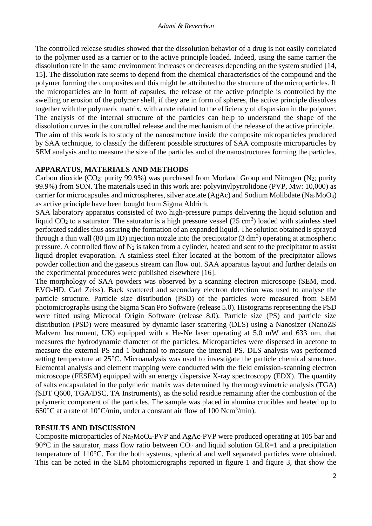The controlled release studies showed that the dissolution behavior of a drug is not easily correlated to the polymer used as a carrier or to the active principle loaded. Indeed, using the same carrier the dissolution rate in the same environment increases or decreases depending on the system studied [14, 15]. The dissolution rate seems to depend from the chemical characteristics of the compound and the polymer forming the composites and this might be attributed to the structure of the microparticles. If the microparticles are in form of capsules, the release of the active principle is controlled by the swelling or erosion of the polymer shell, if they are in form of spheres, the active principle dissolves together with the polymeric matrix, with a rate related to the efficiency of dispersion in the polymer. The analysis of the internal structure of the particles can help to understand the shape of the dissolution curves in the controlled release and the mechanism of the release of the active principle. The aim of this work is to study of the nanostructure inside the composite microparticles produced by SAA technique, to classify the different possible structures of SAA composite microparticles by SEM analysis and to measure the size of the particles and of the nanostructures forming the particles.

#### **APPARATUS, MATERIALS AND METHODS**

Carbon dioxide (CO<sub>2</sub>; purity 99.9%) was purchased from Morland Group and Nitrogen (N<sub>2</sub>; purity 99.9%) from SON. The materials used in this work are: polyvinylpyrrolidone (PVP, Mw: 10,000) as carrier for microcapsules and microspheres, silver acetate (AgAc) and Sodium Molibdate (Na2MoO4) as active principle have been bought from Sigma Aldrich.

SAA laboratory apparatus consisted of two high-pressure pumps delivering the liquid solution and liquid  $CO<sub>2</sub>$  to a saturator. The saturator is a high pressure vessel (25 cm<sup>3</sup>) loaded with stainless steel perforated saddles thus assuring the formation of an expanded liquid. The solution obtained is sprayed through a thin wall (80  $\mu$ m ID) injection nozzle into the precipitator (3 dm<sup>3</sup>) operating at atmospheric pressure. A controlled flow of  $N_2$  is taken from a cylinder, heated and sent to the precipitator to assist liquid droplet evaporation. A stainless steel filter located at the bottom of the precipitator allows powder collection and the gaseous stream can flow out. SAA apparatus layout and further details on the experimental procedures were published elsewhere [16].

The morphology of SAA powders was observed by a scanning electron microscope (SEM, mod. EVO-HD, Carl Zeiss). Back scattered and secondary electron detection was used to analyse the particle structure. Particle size distribution (PSD) of the particles were measured from SEM photomicrographs using the Sigma Scan Pro Software (release 5.0). Histograms representing the PSD were fitted using Microcal Origin Software (release 8.0). Particle size (PS) and particle size distribution (PSD) were measured by dynamic laser scattering (DLS) using a Nanosizer (NanoZS Malvern Instrument, UK) equipped with a He-Ne laser operating at 5.0 mW and 633 nm, that measures the hydrodynamic diameter of the particles. Microparticles were dispersed in acetone to measure the external PS and 1-buthanol to measure the internal PS. DLS analysis was performed setting temperature at 25°C. Microanalysis was used to investigate the particle chemical structure. Elemental analysis and element mapping were conducted with the field emission-scanning electron microscope (FESEM) equipped with an energy dispersive X-ray spectroscopy (EDX). The quantity of salts encapsulated in the polymeric matrix was determined by thermogravimetric analysis (TGA) (SDT Q600, TGA/DSC, TA Instruments), as the solid residue remaining after the combustion of the polymeric component of the particles. The sample was placed in alumina crucibles and heated up to 650 $^{\circ}$ C at a rate of 10 $^{\circ}$ C/min, under a constant air flow of 100 Ncm<sup>3</sup>/min).

### **RESULTS AND DISCUSSION**

Composite microparticles of Na2MoO4-PVP and AgAc-PVP were produced operating at 105 bar and 90 $\degree$ C in the saturator, mass flow ratio between CO<sub>2</sub> and liquid solution GLR=1 and a precipitation temperature of 110°C. For the both systems, spherical and well separated particles were obtained. This can be noted in the SEM photomicrographs reported in figure 1 and figure 3, that show the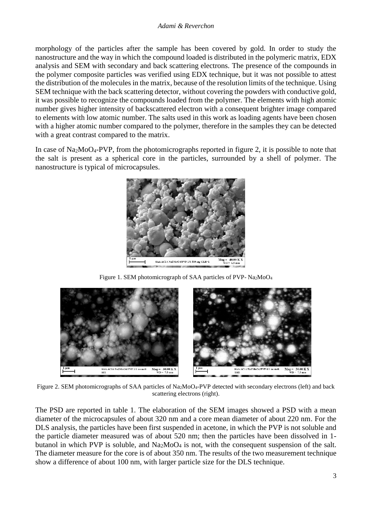#### *Adami & Reverchon*

morphology of the particles after the sample has been covered by gold. In order to study the nanostructure and the way in which the compound loaded is distributed in the polymeric matrix, EDX analysis and SEM with secondary and back scattering electrons. The presence of the compounds in the polymer composite particles was verified using EDX technique, but it was not possible to attest the distribution of the molecules in the matrix, because of the resolution limits of the technique. Using SEM technique with the back scattering detector, without covering the powders with conductive gold, it was possible to recognize the compounds loaded from the polymer. The elements with high atomic number gives higher intensity of backscattered electron with a consequent brighter image compared to elements with low atomic number. The salts used in this work as loading agents have been chosen with a higher atomic number compared to the polymer, therefore in the samples they can be detected with a great contrast compared to the matrix.

In case of Na2MoO4-PVP, from the photomicrographs reported in figure 2, it is possible to note that the salt is present as a spherical core in the particles, surrounded by a shell of polymer. The nanostructure is typical of microcapsules.



Figure 1. SEM photomicrograph of SAA particles of PVP- Na<sub>2</sub>MoO<sub>4</sub>



Figure 2. SEM photomicrographs of SAA particles of Na<sub>2</sub>MoO<sub>4</sub>-PVP detected with secondary electrons (left) and back scattering electrons (right).

The PSD are reported in table 1. The elaboration of the SEM images showed a PSD with a mean diameter of the microcapsules of about 320 nm and a core mean diameter of about 220 nm. For the DLS analysis, the particles have been first suspended in acetone, in which the PVP is not soluble and the particle diameter measured was of about 520 nm; then the particles have been dissolved in 1 butanol in which PVP is soluble, and  $Na<sub>2</sub>MoO<sub>4</sub>$  is not, with the consequent suspension of the salt. The diameter measure for the core is of about 350 nm. The results of the two measurement technique show a difference of about 100 nm, with larger particle size for the DLS technique.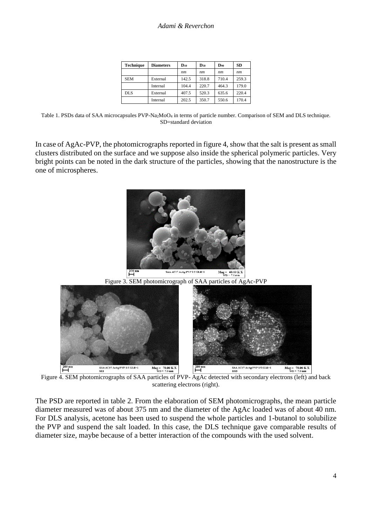| <b>Technique</b> | <b>Diameters</b> | $\mathbf{D}_{10}$ | $D_{50}$      | $\mathbf{D}_{90}$ | <b>SD</b> |
|------------------|------------------|-------------------|---------------|-------------------|-----------|
|                  |                  | nm                | <sub>nm</sub> | nm                | nm        |
| <b>SEM</b>       | External         | 142.5             | 318.8         | 710.4             | 259.3     |
|                  | Internal         | 104.4             | 220.7         | 464.3             | 179.0     |
| <b>DLS</b>       | External         | 407.5             | 520.3         | 635.6             | 220.4     |
|                  | Internal         | 202.5             | 350.7         | 550.6             | 170.4     |

Table 1. PSDs data of SAA microcapsules PVP-Na2MoO<sup>4</sup> in terms of particle number. Comparison of SEM and DLS technique. SD=standard deviation

In case of AgAc-PVP, the photomicrographs reported in figure 4, show that the salt is present as small clusters distributed on the surface and we suppose also inside the spherical polymeric particles. Very bright points can be noted in the dark structure of the particles, showing that the nanostructure is the one of microspheres.



Figure 4. SEM photomicrographs of SAA particles of PVP- AgAc detected with secondary electrons (left) and back scattering electrons (right).

The PSD are reported in table 2. From the elaboration of SEM photomicrographs, the mean particle diameter measured was of about 375 nm and the diameter of the AgAc loaded was of about 40 nm. For DLS analysis, acetone has been used to suspend the whole particles and 1-butanol to solubilize the PVP and suspend the salt loaded. In this case, the DLS technique gave comparable results of diameter size, maybe because of a better interaction of the compounds with the used solvent.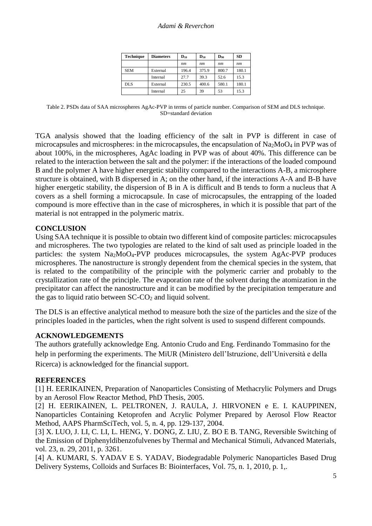| <b>Technique</b> | <b>Diameters</b> | $\mathbf{D}_{10}$ | $D_{50}$      | D90   | <b>SD</b> |
|------------------|------------------|-------------------|---------------|-------|-----------|
|                  |                  | nm                | <sub>nm</sub> | nm    | nm        |
| <b>SEM</b>       | External         | 196.4             | 375.9         | 800.7 | 180.1     |
|                  | Internal         | 27.7              | 39.3          | 52.6  | 15.3      |
| <b>DLS</b>       | External         | 230.5             | 400.6         | 580.1 | 180.1     |
|                  | Internal         | 25                | 39            | 53    | 15.3      |

Table 2. PSDs data of SAA microspheres AgAc-PVP in terms of particle number. Comparison of SEM and DLS technique. SD=standard deviation

TGA analysis showed that the loading efficiency of the salt in PVP is different in case of microcapsules and microspheres: in the microcapsules, the encapsulation of Na2MoO<sup>4</sup> in PVP was of about 100%, in the microspheres, AgAc loading in PVP was of about 40%. This difference can be related to the interaction between the salt and the polymer: if the interactions of the loaded compound B and the polymer A have higher energetic stability compared to the interactions A-B, a microsphere structure is obtained, with B dispersed in A; on the other hand, if the interactions A-A and B-B have higher energetic stability, the dispersion of B in A is difficult and B tends to form a nucleus that A covers as a shell forming a microcapsule. In case of microcapsules, the entrapping of the loaded compound is more effective than in the case of microspheres, in which it is possible that part of the material is not entrapped in the polymeric matrix.

## **CONCLUSION**

Using SAA technique it is possible to obtain two different kind of composite particles: microcapsules and microspheres. The two typologies are related to the kind of salt used as principle loaded in the particles: the system Na2MoO4-PVP produces microcapsules, the system AgAc-PVP produces microspheres. The nanostructure is strongly dependent from the chemical species in the system, that is related to the compatibility of the principle with the polymeric carrier and probably to the crystallization rate of the principle. The evaporation rate of the solvent during the atomization in the precipitator can affect the nanostructure and it can be modified by the precipitation temperature and the gas to liquid ratio between  $SC-CO<sub>2</sub>$  and liquid solvent.

The DLS is an effective analytical method to measure both the size of the particles and the size of the principles loaded in the particles, when the right solvent is used to suspend different compounds.

### **ACKNOWLEDGEMENTS**

The authors gratefully acknowledge Eng. Antonio Crudo and Eng. Ferdinando Tommasino for the help in performing the experiments. The MiUR (Ministero dell'Istruzione, dell'Università e della Ricerca) is acknowledged for the financial support.

### **REFERENCES**

[1] H. EERIKAINEN, Preparation of Nanoparticles Consisting of Methacrylic Polymers and Drugs by an Aerosol Flow Reactor Method, PhD Thesis, 2005.

[2] H. EERIKAINEN, L. PELTRONEN, J. RAULA, J. HIRVONEN e E. I. KAUPPINEN, Nanoparticles Containing Ketoprofen and Acrylic Polymer Prepared by Aerosol Flow Reactor Method, AAPS PharmSciTech, vol. 5, n. 4, pp. 129-137, 2004.

[3] X. LUO, J. LI, C. LI, L. HENG, Y. DONG, Z. LIU, Z. BO E B. TANG, Reversible Switching of the Emission of Diphenyldibenzofulvenes by Thermal and Mechanical Stimuli, Advanced Materials, vol. 23, n. 29, 2011, p. 3261.

[4] A. KUMARI, S. YADAV E S. YADAV, Biodegradable Polymeric Nanoparticles Based Drug Delivery Systems, Colloids and Surfaces B: Biointerfaces, Vol. 75, n. 1, 2010, p. 1,.